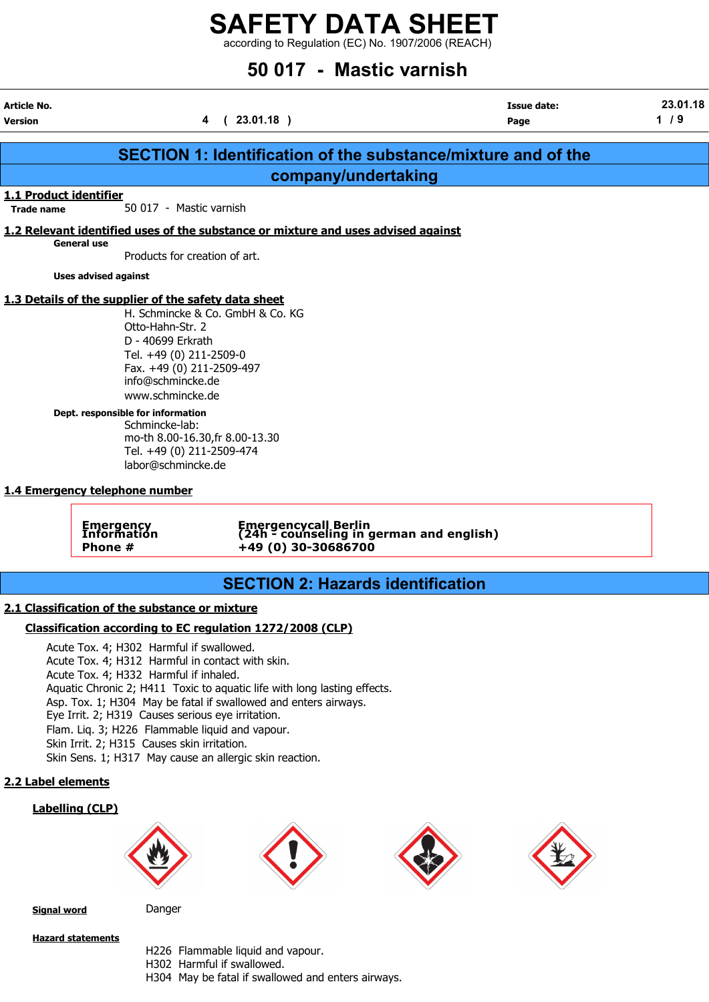according to Regulation (EC) No. 1907/2006 (REACH)

# 50 017 - Mastic varnish

| Article No.<br><b>Version</b> |                                                                                                                                                                                                                                                                                                                                            | (23.01.18)<br>4                                                                                                                             | <b>Issue date:</b><br>Page                                           | 23.01.18<br>$1/9$ |
|-------------------------------|--------------------------------------------------------------------------------------------------------------------------------------------------------------------------------------------------------------------------------------------------------------------------------------------------------------------------------------------|---------------------------------------------------------------------------------------------------------------------------------------------|----------------------------------------------------------------------|-------------------|
|                               |                                                                                                                                                                                                                                                                                                                                            |                                                                                                                                             | <b>SECTION 1: Identification of the substance/mixture and of the</b> |                   |
|                               |                                                                                                                                                                                                                                                                                                                                            | company/undertaking                                                                                                                         |                                                                      |                   |
| 1.1 Product identifier        |                                                                                                                                                                                                                                                                                                                                            |                                                                                                                                             |                                                                      |                   |
| <b>Trade name</b>             | 50 017 - Mastic varnish                                                                                                                                                                                                                                                                                                                    |                                                                                                                                             |                                                                      |                   |
|                               | <b>General use</b>                                                                                                                                                                                                                                                                                                                         | 1.2 Relevant identified uses of the substance or mixture and uses advised against                                                           |                                                                      |                   |
|                               | Products for creation of art.                                                                                                                                                                                                                                                                                                              |                                                                                                                                             |                                                                      |                   |
|                               | <b>Uses advised against</b>                                                                                                                                                                                                                                                                                                                |                                                                                                                                             |                                                                      |                   |
|                               | 1.3 Details of the supplier of the safety data sheet<br>Otto-Hahn-Str. 2<br>D - 40699 Erkrath<br>Tel. +49 (0) 211-2509-0<br>Fax. +49 (0) 211-2509-497<br>info@schmincke.de<br>www.schmincke.de<br>Dept. responsible for information<br>Schmincke-lab:<br>Tel. +49 (0) 211-2509-474<br>labor@schmincke.de<br>1.4 Emergency telephone number | H. Schmincke & Co. GmbH & Co. KG<br>mo-th 8.00-16.30, fr 8.00-13.30                                                                         |                                                                      |                   |
|                               | Emergency<br>Information<br>Phone #                                                                                                                                                                                                                                                                                                        | Emergencycall Berlin<br>(24h - counseling in german and english)<br>+49 (0) 30-30686700                                                     |                                                                      |                   |
|                               |                                                                                                                                                                                                                                                                                                                                            | <b>SECTION 2: Hazards identification</b>                                                                                                    |                                                                      |                   |
|                               | 2.1 Classification of the substance or mixture                                                                                                                                                                                                                                                                                             |                                                                                                                                             |                                                                      |                   |
|                               |                                                                                                                                                                                                                                                                                                                                            | Classification according to EC regulation 1272/2008 (CLP)                                                                                   |                                                                      |                   |
|                               | Acute Tox. 4; H302 Harmful if swallowed.<br>Acute Tox. 4; H312 Harmful in contact with skin.<br>Acute Tox. 4; H332 Harmful if inhaled.<br>Eye Irrit. 2; H319 Causes serious eye irritation.<br>Flam. Liq. 3; H226 Flammable liquid and vapour.                                                                                             | Aquatic Chronic 2; H411 Toxic to aquatic life with long lasting effects.<br>Asp. Tox. 1; H304 May be fatal if swallowed and enters airways. |                                                                      |                   |

2.2 Label elements

#### Labelling (CLP)



Skin Irrit. 2; H315 Causes skin irritation.

Skin Sens. 1; H317 May cause an allergic skin reaction.







Signal word Danger

**Hazard statements** 

H226 Flammable liquid and vapour. H302 Harmful if swallowed. H304 May be fatal if swallowed and enters airways.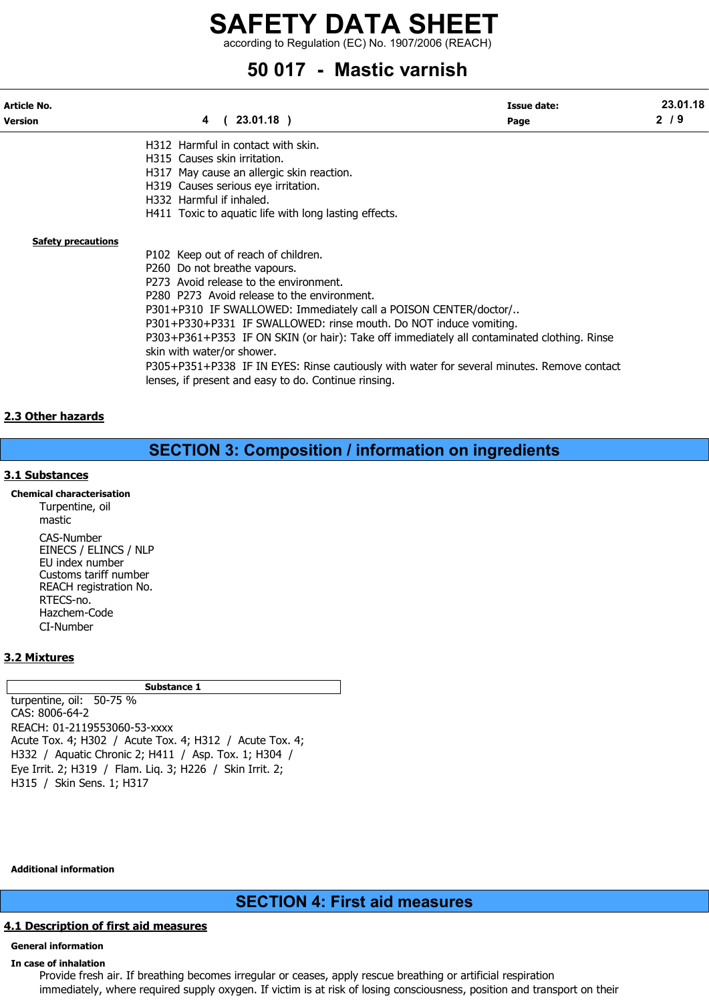according to Regulation (EC) No. 1907/2006 (REACH)

# 50 017 - Mastic varnish

| Article No.               |                                                                                            | <b>Issue date:</b> | 23.01.18 |
|---------------------------|--------------------------------------------------------------------------------------------|--------------------|----------|
| Version                   | $23.01.18$ )<br>4                                                                          | Page               | 2/9      |
|                           | H312 Harmful in contact with skin.                                                         |                    |          |
|                           | H315 Causes skin irritation.                                                               |                    |          |
|                           | H317 May cause an allergic skin reaction.                                                  |                    |          |
|                           | H319 Causes serious eye irritation.                                                        |                    |          |
|                           | H332 Harmful if inhaled.                                                                   |                    |          |
|                           | H411 Toxic to aquatic life with long lasting effects.                                      |                    |          |
| <b>Safety precautions</b> |                                                                                            |                    |          |
|                           | P102 Keep out of reach of children.                                                        |                    |          |
|                           | P260 Do not breathe vapours.                                                               |                    |          |
|                           | P273 Avoid release to the environment.                                                     |                    |          |
|                           | P280 P273 Avoid release to the environment.                                                |                    |          |
|                           | P301+P310 IF SWALLOWED: Immediately call a POISON CENTER/doctor/                           |                    |          |
|                           | P301+P330+P331 IF SWALLOWED: rinse mouth. Do NOT induce vomiting.                          |                    |          |
|                           | P303+P361+P353 IF ON SKIN (or hair): Take off immediately all contaminated clothing. Rinse |                    |          |
|                           | skin with water/or shower.                                                                 |                    |          |
|                           | P305+P351+P338 IF IN EYES: Rinse cautiously with water for several minutes. Remove contact |                    |          |
|                           | lenses, if present and easy to do. Continue rinsing.                                       |                    |          |
|                           |                                                                                            |                    |          |

#### 2.3 Other hazards

### SECTION 3: Composition / information on ingredients

#### 3.1 Substances

Chemical characterisation Turpentine, oil mastic CAS-Number EINECS / ELINCS / NLP EU index number Customs tariff number REACH registration No. RTECS-no. Hazchem-Code CI-Number

#### 3.2 Mixtures

Substance 1

turpentine, oil: 50-75 % CAS: 8006-64-2 REACH: 01-2119553060-53-xxxx Acute Tox. 4; H302 / Acute Tox. 4; H312 / Acute Tox. 4; H332 / Aquatic Chronic 2; H411 / Asp. Tox. 1; H304 / Eye Irrit. 2; H319 / Flam. Liq. 3; H226 / Skin Irrit. 2; H315 / Skin Sens. 1; H317

Additional information

## SECTION 4: First aid measures

### 4.1 Description of first aid measures

#### General information

#### In case of inhalation

Provide fresh air. If breathing becomes irregular or ceases, apply rescue breathing or artificial respiration immediately, where required supply oxygen. If victim is at risk of losing consciousness, position and transport on their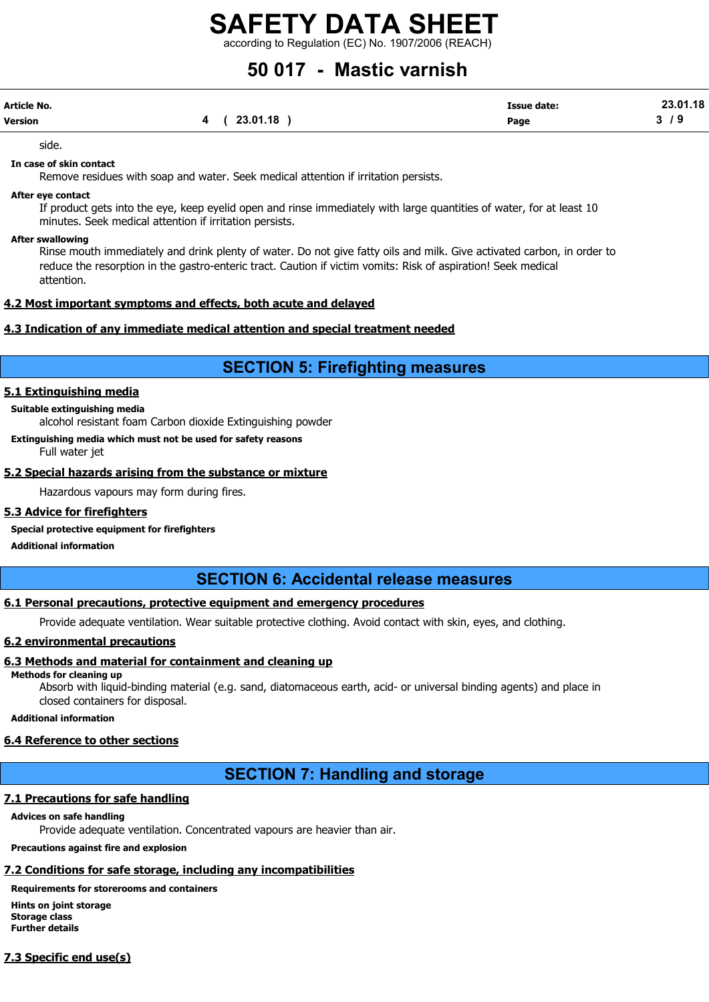according to Regulation (EC) No. 1907/2006 (REACH)

# 50 017 - Mastic varnish

| Article No. |             | <b>Issue date:</b> | 23.01.18 |
|-------------|-------------|--------------------|----------|
| Version     | 4 (23.01.18 | Page               | 3/9      |

side.

#### In case of skin contact

Remove residues with soap and water. Seek medical attention if irritation persists.

#### After eye contact

If product gets into the eye, keep eyelid open and rinse immediately with large quantities of water, for at least 10 minutes. Seek medical attention if irritation persists.

#### After swallowing

Rinse mouth immediately and drink plenty of water. Do not give fatty oils and milk. Give activated carbon, in order to reduce the resorption in the gastro-enteric tract. Caution if victim vomits: Risk of aspiration! Seek medical attention.

#### 4.2 Most important symptoms and effects, both acute and delayed

#### 4.3 Indication of any immediate medical attention and special treatment needed

### SECTION 5: Firefighting measures

#### 5.1 Extinguishing media

Suitable extinguishing media

alcohol resistant foam Carbon dioxide Extinguishing powder

Extinguishing media which must not be used for safety reasons

Full water jet

#### 5.2 Special hazards arising from the substance or mixture

Hazardous vapours may form during fires.

#### 5.3 Advice for firefighters

Special protective equipment for firefighters

Additional information

### SECTION 6: Accidental release measures

#### 6.1 Personal precautions, protective equipment and emergency procedures

Provide adequate ventilation. Wear suitable protective clothing. Avoid contact with skin, eyes, and clothing.

#### 6.2 environmental precautions

#### 6.3 Methods and material for containment and cleaning up

#### Methods for cleaning up

Absorb with liquid-binding material (e.g. sand, diatomaceous earth, acid- or universal binding agents) and place in closed containers for disposal.

#### Additional information

#### 6.4 Reference to other sections

## SECTION 7: Handling and storage

#### 7.1 Precautions for safe handling

#### Advices on safe handling

Provide adequate ventilation. Concentrated vapours are heavier than air.

Precautions against fire and explosion

### 7.2 Conditions for safe storage, including any incompatibilities

Requirements for storerooms and containers Hints on joint storage Storage class

# 7.3 Specific end use(s)

Further details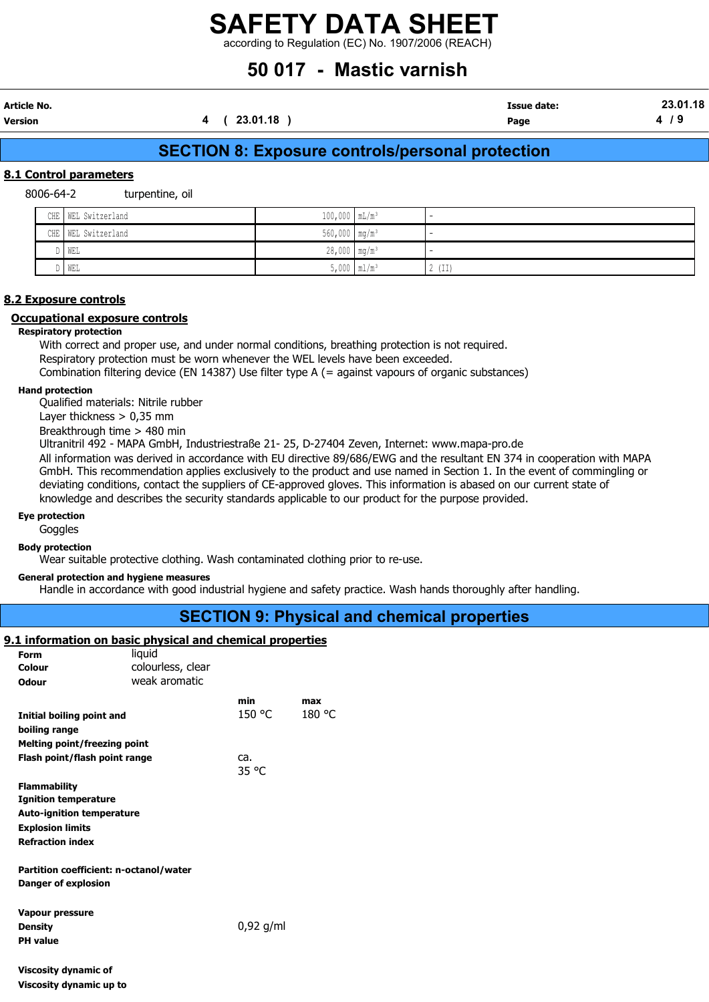according to Regulation (EC) No. 1907/2006 (REACH)

# 50 017 - Mastic varnish

Article No. Issue date: 23.01.18

Version 4 ( 23.01.18 ) Page 4 / 9

## SECTION 8: Exposure controls/personal protection

#### 8.1 Control parameters

8006-64-2 turpentine, oil

| CHE   WEL Switzerland | $100,000$ $mL/m^3$          |          |
|-----------------------|-----------------------------|----------|
| CHE   WEL Switzerland | $560,000$ mg/m <sup>3</sup> |          |
| ∖ WEL                 | $28,000$ mg/m <sup>3</sup>  |          |
| WEL                   | $5,000 \mid m1/m^3$         | $2$ (II) |

#### 8.2 Exposure controls

#### Occupational exposure controls

Respiratory protection

With correct and proper use, and under normal conditions, breathing protection is not required. Respiratory protection must be worn whenever the WEL levels have been exceeded.

Combination filtering device (EN 14387) Use filter type A (= against vapours of organic substances)

#### Hand protection

Qualified materials: Nitrile rubber

Layer thickness  $> 0.35$  mm

Breakthrough time > 480 min

Ultranitril 492 - MAPA GmbH, Industriestraße 21- 25, D-27404 Zeven, Internet: www.mapa-pro.de

All information was derived in accordance with EU directive 89/686/EWG and the resultant EN 374 in cooperation with MAPA GmbH. This recommendation applies exclusively to the product and use named in Section 1. In the event of commingling or deviating conditions, contact the suppliers of CE-approved gloves. This information is abased on our current state of knowledge and describes the security standards applicable to our product for the purpose provided.

#### Eye protection

Goggles

#### Body protection

Viscosity dynamic up to

Wear suitable protective clothing. Wash contaminated clothing prior to re-use.

#### General protection and hygiene measures

Handle in accordance with good industrial hygiene and safety practice. Wash hands thoroughly after handling.

## SECTION 9: Physical and chemical properties

#### 9.1 information on basic physical and chemical properties

| Form                                   | liquid            |             |        |
|----------------------------------------|-------------------|-------------|--------|
| Colour                                 | colourless, clear |             |        |
| <b>Odour</b>                           | weak aromatic     |             |        |
|                                        |                   | min.        | max    |
| Initial boiling point and              |                   | 150 °C      | 180 °C |
| boiling range                          |                   |             |        |
| <b>Melting point/freezing point</b>    |                   |             |        |
| Flash point/flash point range          |                   | ca.         |        |
|                                        |                   | 35 °C       |        |
| <b>Flammability</b>                    |                   |             |        |
| <b>Ignition temperature</b>            |                   |             |        |
| <b>Auto-ignition temperature</b>       |                   |             |        |
| <b>Explosion limits</b>                |                   |             |        |
| <b>Refraction index</b>                |                   |             |        |
|                                        |                   |             |        |
| Partition coefficient: n-octanol/water |                   |             |        |
| Danger of explosion                    |                   |             |        |
|                                        |                   |             |        |
| <b>Vapour pressure</b>                 |                   |             |        |
| <b>Density</b>                         |                   | $0,92$ g/ml |        |
| <b>PH</b> value                        |                   |             |        |
|                                        |                   |             |        |
| <b>Viscosity dynamic of</b>            |                   |             |        |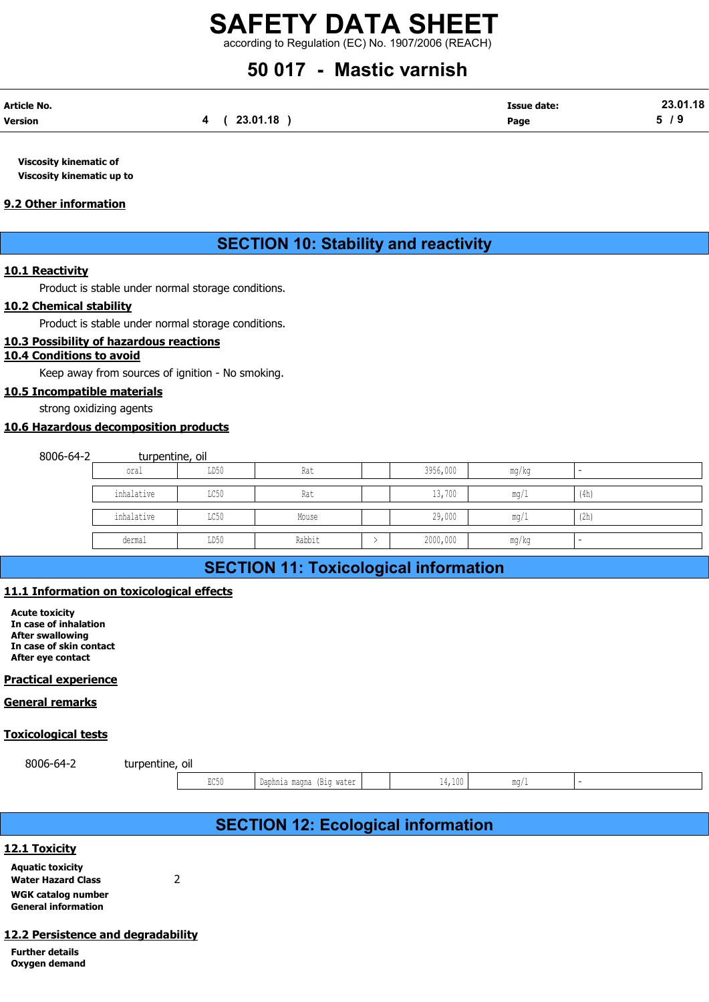according to Regulation (EC) No. 1907/2006 (REACH)

# 50 017 - Mastic varnish

| Article No. |             | <b>Issue date:</b> | 23.01.18 |
|-------------|-------------|--------------------|----------|
| Version     | 4 (23.01.18 | Page               | 5/9      |

Viscosity kinematic of Viscosity kinematic up to

#### 9.2 Other information

## SECTION 10: Stability and reactivity

#### 10.1 Reactivity

#### 10.2 Chemical stability

#### 10.3 Possibility of hazardous reactions

#### 10.4 Conditions to avoid

Keep away from sources of ignition - No smoking.

#### 10.5 Incompatible materials

strong oxidizing agents

#### 10.6 Hazardous decomposition products

|                   |                                                                           |      | <b>SECTION 10: Stability and reactivity</b>  |          |       |      |
|-------------------|---------------------------------------------------------------------------|------|----------------------------------------------|----------|-------|------|
| <u>eactivity</u>  |                                                                           |      |                                              |          |       |      |
|                   | Product is stable under normal storage conditions.                        |      |                                              |          |       |      |
| hemical stability |                                                                           |      |                                              |          |       |      |
|                   | Product is stable under normal storage conditions.                        |      |                                              |          |       |      |
|                   | ossibility of hazardous reactions                                         |      |                                              |          |       |      |
|                   | <u>onditions to avoid</u>                                                 |      |                                              |          |       |      |
|                   | Keep away from sources of ignition - No smoking.<br>ncompatible materials |      |                                              |          |       |      |
|                   | strong oxidizing agents                                                   |      |                                              |          |       |      |
|                   | azardous decomposition products                                           |      |                                              |          |       |      |
|                   |                                                                           |      |                                              |          |       |      |
| 8006-64-2         | turpentine, oil                                                           |      |                                              |          |       |      |
|                   | oral                                                                      | LD50 | Rat                                          | 3956,000 | mg/kg |      |
|                   | inhalative                                                                | LC50 | Rat                                          | 13,700   | mg/1  | (4h) |
|                   | inhalative                                                                | LC50 | Mouse                                        | 29,000   | mg/1  | (2h) |
|                   |                                                                           |      | Rabbit                                       | 2000,000 | mg/kg |      |
|                   | dermal                                                                    | LD50 |                                              |          |       |      |
|                   |                                                                           |      |                                              |          |       |      |
|                   |                                                                           |      | <b>SECTION 11: Toxicological information</b> |          |       |      |

## SECTION 11: Toxicological information

#### 11.1 Information on toxicological effects

#### Practical experience

#### General remarks

#### Toxicological tests

| 8006-64-2 | turpentine, oil | $ -$                |                                                   |        |                  |  |
|-----------|-----------------|---------------------|---------------------------------------------------|--------|------------------|--|
|           |                 | <b>DOEI</b><br>せいりい | wator<br>Daphnia magna<br>WALCL<br>- 11 - 11 - 11 | 14,100 | $m \sim$<br>11 U |  |

|                                                                                                                                  | inhalative      | LC50           | Mouse                                        |               | 29,000   | mg/1  | (2h) |
|----------------------------------------------------------------------------------------------------------------------------------|-----------------|----------------|----------------------------------------------|---------------|----------|-------|------|
|                                                                                                                                  | dermal          | LD50           | Rabbit                                       | $\rightarrow$ | 2000,000 | mg/kg |      |
|                                                                                                                                  |                 |                | <b>SECTION 11: Toxicological information</b> |               |          |       |      |
| 11.1 Information on toxicological effects                                                                                        |                 |                |                                              |               |          |       |      |
| <b>Acute toxicity</b><br>In case of inhalation<br><b>After swallowing</b><br>In case of skin contact<br>After eye contact        |                 |                |                                              |               |          |       |      |
| <b>Practical experience</b>                                                                                                      |                 |                |                                              |               |          |       |      |
| General remarks                                                                                                                  |                 |                |                                              |               |          |       |      |
| <b>Toxicological tests</b>                                                                                                       |                 |                |                                              |               |          |       |      |
| 8006-64-2                                                                                                                        | turpentine, oil |                |                                              |               |          |       |      |
|                                                                                                                                  |                 | EC50           | Daphnia magna (Big water                     |               | 14,100   | mg/1  |      |
|                                                                                                                                  |                 |                |                                              |               |          |       |      |
|                                                                                                                                  |                 |                | <b>SECTION 12: Ecological information</b>    |               |          |       |      |
| 12.1 Toxicity<br><b>Aquatic toxicity</b><br><b>Water Hazard Class</b><br><b>WGK catalog number</b><br><b>General information</b> |                 | $\overline{2}$ |                                              |               |          |       |      |
| 12.2 Persistence and degradability                                                                                               |                 |                |                                              |               |          |       |      |
|                                                                                                                                  |                 |                |                                              |               |          |       |      |

Further details Oxygen demand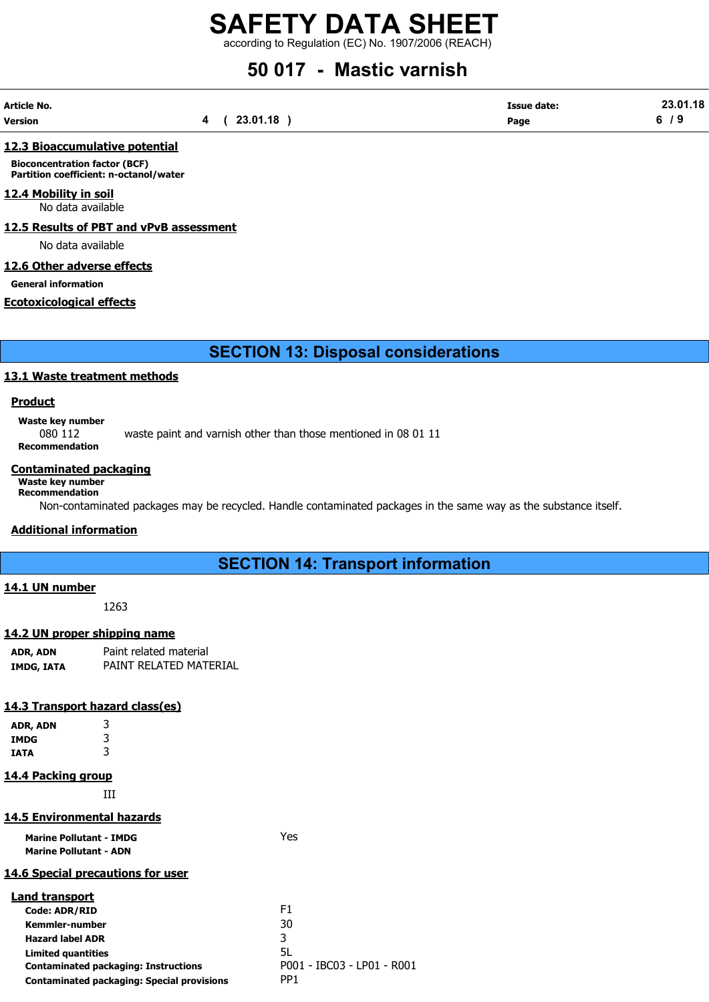according to Regulation (EC) No. 1907/2006 (REACH)

# 50 017 - Mastic varnish

| Article No. |          | <b>Issue date:</b> | 23.01.18 |
|-------------|----------|--------------------|----------|
| Version     | 23.01.18 | Page               |          |

#### 12.3 Bioaccumulative potential

Bioconcentration factor (BCF) Partition coefficient: n-octanol/water

#### 12.4 Mobility in soil

No data available

12.5 Results of PBT and vPvB assessment

No data available

#### 12.6 Other adverse effects

General information

#### Ecotoxicological effects

SECTION 13: Disposal considerations

#### 13.1 Waste treatment methods

#### **Product**

Waste key number 080 112 waste paint and varnish other than those mentioned in 08 01 11 Recommendation

#### Contaminated packaging

#### Waste key number Recommendation

Non-contaminated packages may be recycled. Handle contaminated packages in the same way as the substance itself.

#### Additional information

### SECTION 14: Transport information

#### 14.1 UN number

1263

#### 14.2 UN proper shipping name

| ADR, ADN   | Paint related material |
|------------|------------------------|
| IMDG, IATA | PAINT RELATED MATERIAL |

#### 14.3 Transport hazard class(es)

| ADR, ADN | 3 |
|----------|---|
| IMDG     | 3 |
| IATA     | 3 |

#### 14.4 Packing group

III

#### 14.5 Environmental hazards

| <b>Marine Pollutant - IMDG</b><br><b>Marine Pollutant - ADN</b> | Yes                        |
|-----------------------------------------------------------------|----------------------------|
| <b>14.6 Special precautions for user</b>                        |                            |
| <b>Land transport</b>                                           |                            |
| Code: ADR/RID                                                   | F <sub>1</sub>             |
| <b>Kemmler-number</b>                                           | 30                         |
| <b>Hazard label ADR</b>                                         | 3                          |
| Limited quantities                                              | 5L                         |
| <b>Contaminated packaging: Instructions</b>                     | P001 - IBC03 - LP01 - R001 |
| <b>Contaminated packaging: Special provisions</b>               | PP <sub>1</sub>            |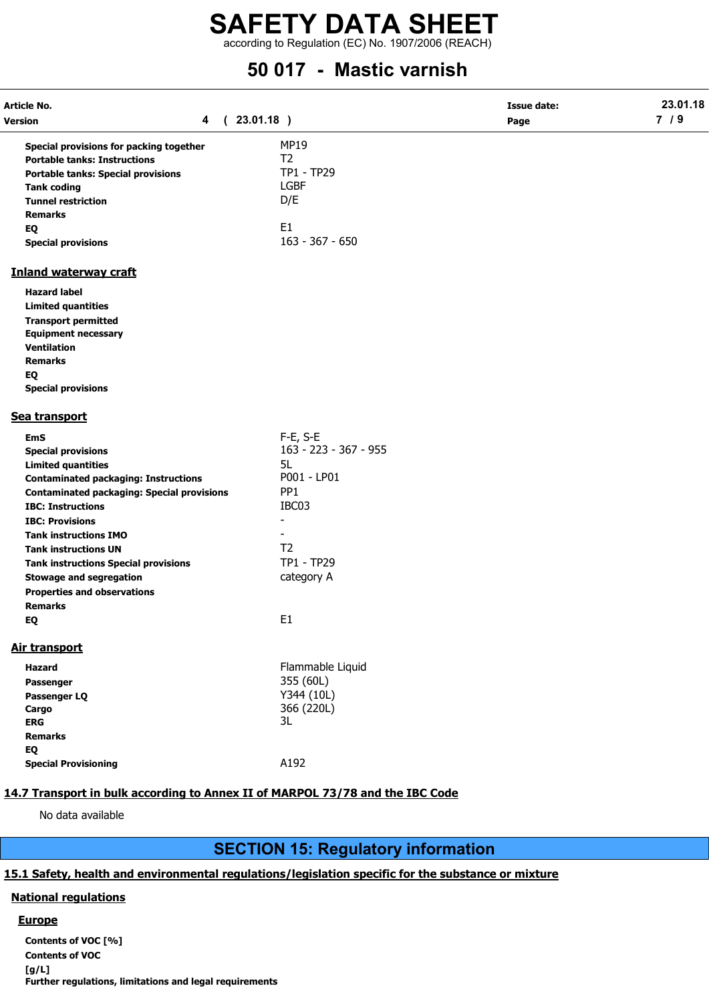## SAFETY DATA SHEET according to Regulation (EC) No. 1907/2006 (REACH)

# 50 017 - Mastic varnish

| Article No.                                                                   |                       | <b>Issue date:</b> | 23.01.18 |
|-------------------------------------------------------------------------------|-----------------------|--------------------|----------|
| 4<br>Version<br>$\epsilon$                                                    | 23.01.18 )            | Page               | 7/9      |
| Special provisions for packing together                                       | <b>MP19</b>           |                    |          |
| <b>Portable tanks: Instructions</b>                                           | T <sub>2</sub>        |                    |          |
| <b>Portable tanks: Special provisions</b>                                     | TP1 - TP29            |                    |          |
| <b>Tank coding</b>                                                            | <b>LGBF</b>           |                    |          |
| <b>Tunnel restriction</b>                                                     | D/E                   |                    |          |
| <b>Remarks</b>                                                                |                       |                    |          |
| EQ                                                                            | E <sub>1</sub>        |                    |          |
| <b>Special provisions</b>                                                     | $163 - 367 - 650$     |                    |          |
| <b>Inland waterway craft</b>                                                  |                       |                    |          |
| <b>Hazard label</b>                                                           |                       |                    |          |
| <b>Limited quantities</b>                                                     |                       |                    |          |
| <b>Transport permitted</b>                                                    |                       |                    |          |
| <b>Equipment necessary</b>                                                    |                       |                    |          |
| <b>Ventilation</b>                                                            |                       |                    |          |
| <b>Remarks</b>                                                                |                       |                    |          |
| EQ                                                                            |                       |                    |          |
| <b>Special provisions</b>                                                     |                       |                    |          |
| Sea transport                                                                 |                       |                    |          |
| <b>EmS</b>                                                                    | F-E, S-E              |                    |          |
| <b>Special provisions</b>                                                     | 163 - 223 - 367 - 955 |                    |          |
| <b>Limited quantities</b>                                                     | 5L                    |                    |          |
| <b>Contaminated packaging: Instructions</b>                                   | P001 - LP01           |                    |          |
| <b>Contaminated packaging: Special provisions</b>                             | PP <sub>1</sub>       |                    |          |
| <b>IBC: Instructions</b>                                                      | IBC03                 |                    |          |
| <b>IBC: Provisions</b>                                                        | $\overline{a}$        |                    |          |
| <b>Tank instructions IMO</b>                                                  |                       |                    |          |
| <b>Tank instructions UN</b>                                                   | T <sub>2</sub>        |                    |          |
| <b>Tank instructions Special provisions</b>                                   | TP1 - TP29            |                    |          |
| <b>Stowage and segregation</b>                                                | category A            |                    |          |
| <b>Properties and observations</b>                                            |                       |                    |          |
| <b>Remarks</b>                                                                |                       |                    |          |
| EQ                                                                            | E <sub>1</sub>        |                    |          |
| <b>Air transport</b>                                                          |                       |                    |          |
| <b>Hazard</b>                                                                 | Flammable Liquid      |                    |          |
| Passenger                                                                     | 355 (60L)             |                    |          |
| Passenger LQ                                                                  | Y344 (10L)            |                    |          |
| Cargo                                                                         | 366 (220L)            |                    |          |
| <b>ERG</b>                                                                    | 3L                    |                    |          |
| <b>Remarks</b>                                                                |                       |                    |          |
| EQ                                                                            |                       |                    |          |
| <b>Special Provisioning</b>                                                   | A192                  |                    |          |
| 14.7 Transport in bulk according to Annex II of MARPOL 73/78 and the IBC Code |                       |                    |          |
|                                                                               |                       |                    |          |

No data available

## SECTION 15: Regulatory information

#### 15.1 Safety, health and environmental regulations/legislation specific for the substance or mixture

### National regulations

#### **Europe**

Contents of VOC [%] Contents of VOC  $[g/L]$ Further regulations, limitations and legal requirements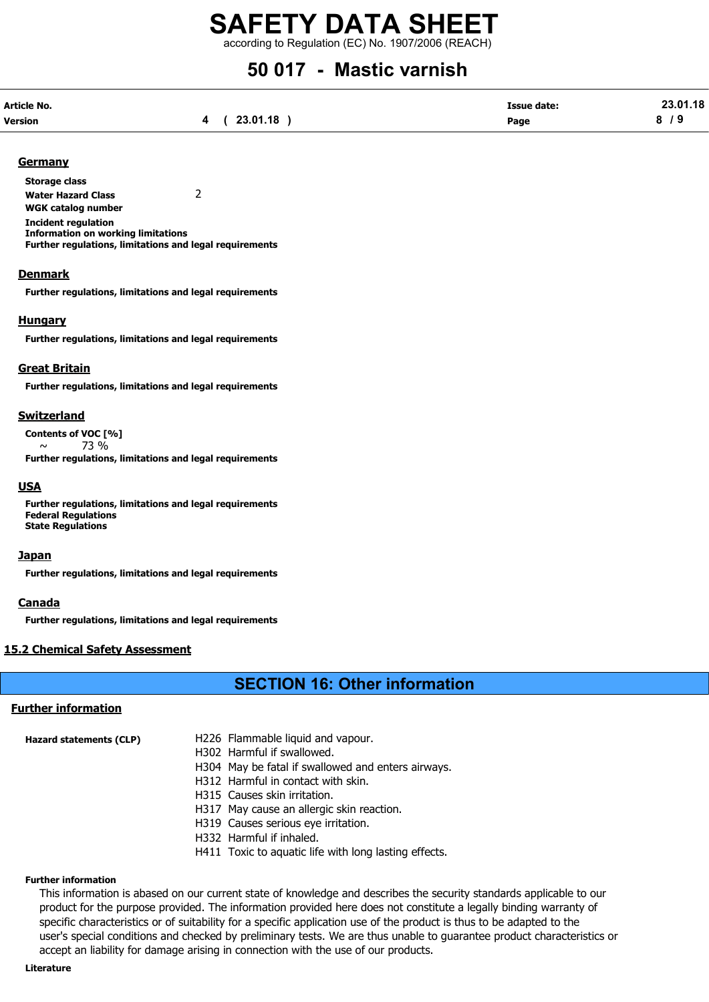according to Regulation (EC) No. 1907/2006 (REACH)

# 50 017 - Mastic varnish

| Article No. |             | <b>Issue date:</b> | 23.01.18 |
|-------------|-------------|--------------------|----------|
| Version     | 4 (23.01.18 | Page               | 8/9      |

#### **Germany**

Storage class Water Hazard Class 2 WGK catalog number Incident regulation Information on working limitations Further regulations, limitations and legal requirements

#### **Denmark**

Further regulations, limitations and legal requirements

#### **Hungary**

Further regulations, limitations and legal requirements

#### Great Britain

Further regulations, limitations and legal requirements

#### Switzerland

Contents of VOC [%] ~ 73 % Further regulations, limitations and legal requirements

#### **USA**

Further regulations, limitations and legal requirements Federal Regulations State Regulations

#### **Japan**

Further regulations, limitations and legal requirements

#### **Canada**

Further regulations, limitations and legal requirements

#### 15.2 Chemical Safety Assessment

### SECTION 16: Other information

#### Further information

- Hazard statements (CLP) H226 Flammable liquid and vapour.
	- H302 Harmful if swallowed.
	- H304 May be fatal if swallowed and enters airways.
	- H312 Harmful in contact with skin.
	- H315 Causes skin irritation.
	- H317 May cause an allergic skin reaction.
	- H319 Causes serious eye irritation.
	- H332 Harmful if inhaled.
	- H411 Toxic to aquatic life with long lasting effects.

#### Further information

This information is abased on our current state of knowledge and describes the security standards applicable to our product for the purpose provided. The information provided here does not constitute a legally binding warranty of specific characteristics or of suitability for a specific application use of the product is thus to be adapted to the user's special conditions and checked by preliminary tests. We are thus unable to guarantee product characteristics or accept an liability for damage arising in connection with the use of our products.

#### Literature